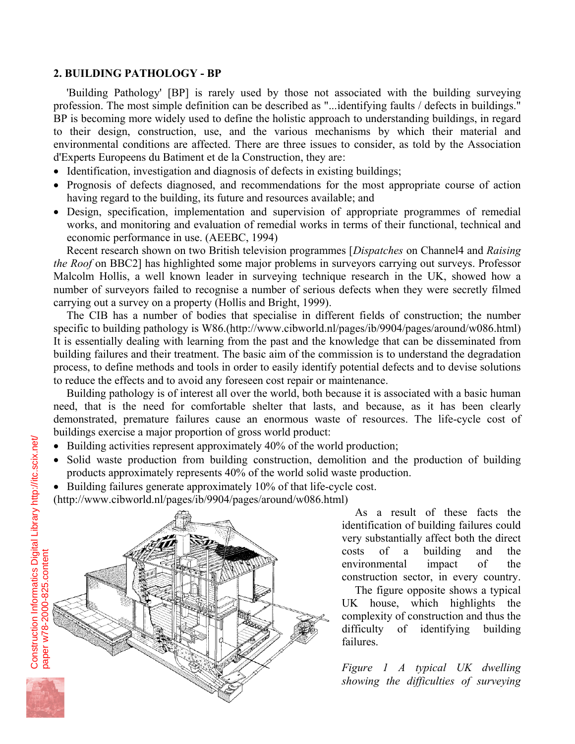## **2. BUILDING PATHOLOGY - BP**

'Building Pathology' [BP] is rarely used by those not associated with the building surveying profession. The most simple definition can be described as "...identifying faults / defects in buildings." BP is becoming more widely used to define the holistic approach to understanding buildings, in regard to their design, construction, use, and the various mechanisms by which their material and environmental conditions are affected. There are three issues to consider, as told by the Association d'Experts Europeens du Batiment et de la Construction, they are:

- Identification, investigation and diagnosis of defects in existing buildings;
- Prognosis of defects diagnosed, and recommendations for the most appropriate course of action having regard to the building, its future and resources available; and
- Design, specification, implementation and supervision of appropriate programmes of remedial works, and monitoring and evaluation of remedial works in terms of their functional, technical and economic performance in use. (AEEBC, 1994)

Recent research shown on two British television programmes [*Dispatches* on Channel4 and *Raising the Roof* on BBC2] has highlighted some major problems in surveyors carrying out surveys. Professor Malcolm Hollis, a well known leader in surveying technique research in the UK, showed how a number of surveyors failed to recognise a number of serious defects when they were secretly filmed carrying out a survey on a property (Hollis and Bright, 1999).

The CIB has a number of bodies that specialise in different fields of construction; the number specific to building pathology is W86.(http://www.cibworld.nl/pages/ib/9904/pages/around/w086.html) It is essentially dealing with learning from the past and the knowledge that can be disseminated from building failures and their treatment. The basic aim of the commission is to understand the degradation process, to define methods and tools in order to easily identify potential defects and to devise solutions to reduce the effects and to avoid any foreseen cost repair or maintenance.

Building pathology is of interest all over the world, both because it is associated with a basic human need, that is the need for comfortable shelter that lasts, and because, as it has been clearly demonstrated, premature failures cause an enormous waste of resources. The life-cycle cost of buildings exercise a major proportion of gross world product:

- Building activities represent approximately 40% of the world production;
- Solid waste production from building construction, demolition and the production of building products approximately represents 40% of the world solid waste production.
- Building failures generate approximately 10% of that life-cycle cost.

(http://www.cibworld.nl/pages/ib/9904/pages/around/w086.html)



As a result of these facts the identification of building failures could very substantially affect both the direct costs of a building and the environmental impact of the construction sector, in every country.

The figure opposite shows a typical UK house, which highlights the complexity of construction and thus the difficulty of identifying building failures.

*Figure 1 A typical UK dwelling showing the difficulties of surveying*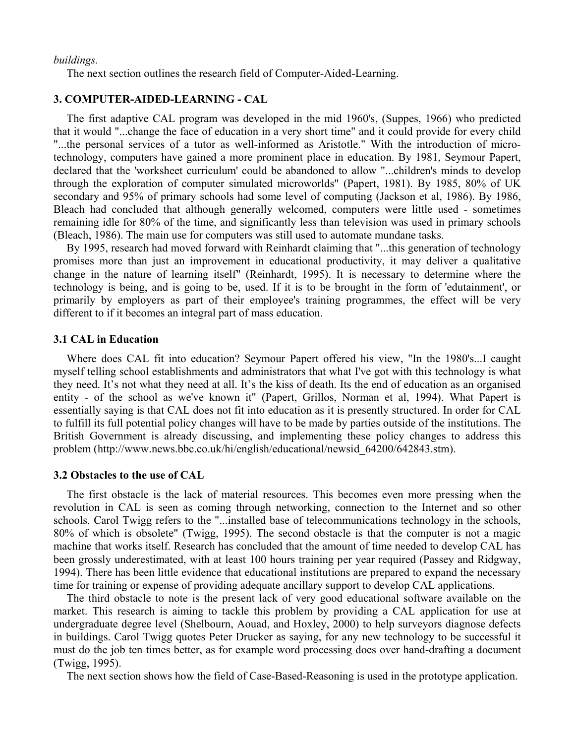#### *buildings.*

The next section outlines the research field of Computer-Aided-Learning.

# **3. COMPUTER-AIDED-LEARNING - CAL**

 The first adaptive CAL program was developed in the mid 1960's, (Suppes, 1966) who predicted that it would "...change the face of education in a very short time" and it could provide for every child "...the personal services of a tutor as well-informed as Aristotle." With the introduction of microtechnology, computers have gained a more prominent place in education. By 1981, Seymour Papert, declared that the 'worksheet curriculum' could be abandoned to allow "...children's minds to develop through the exploration of computer simulated microworlds" (Papert, 1981). By 1985, 80% of UK secondary and 95% of primary schools had some level of computing (Jackson et al, 1986). By 1986, Bleach had concluded that although generally welcomed, computers were little used - sometimes remaining idle for 80% of the time, and significantly less than television was used in primary schools (Bleach, 1986). The main use for computers was still used to automate mundane tasks.

 By 1995, research had moved forward with Reinhardt claiming that "...this generation of technology promises more than just an improvement in educational productivity, it may deliver a qualitative change in the nature of learning itself" (Reinhardt, 1995). It is necessary to determine where the technology is being, and is going to be, used. If it is to be brought in the form of 'edutainment', or primarily by employers as part of their employee's training programmes, the effect will be very different to if it becomes an integral part of mass education.

### **3.1 CAL in Education**

 Where does CAL fit into education? Seymour Papert offered his view, "In the 1980's...I caught myself telling school establishments and administrators that what I've got with this technology is what they need. It's not what they need at all. It's the kiss of death. Its the end of education as an organised entity - of the school as we've known it" (Papert, Grillos, Norman et al, 1994). What Papert is essentially saying is that CAL does not fit into education as it is presently structured. In order for CAL to fulfill its full potential policy changes will have to be made by parties outside of the institutions. The British Government is already discussing, and implementing these policy changes to address this problem (http://www.news.bbc.co.uk/hi/english/educational/newsid\_64200/642843.stm).

### **3.2 Obstacles to the use of CAL**

 The first obstacle is the lack of material resources. This becomes even more pressing when the revolution in CAL is seen as coming through networking, connection to the Internet and so other schools. Carol Twigg refers to the "...installed base of telecommunications technology in the schools, 80% of which is obsolete" (Twigg, 1995). The second obstacle is that the computer is not a magic machine that works itself. Research has concluded that the amount of time needed to develop CAL has been grossly underestimated, with at least 100 hours training per year required (Passey and Ridgway, 1994). There has been little evidence that educational institutions are prepared to expand the necessary time for training or expense of providing adequate ancillary support to develop CAL applications.

 The third obstacle to note is the present lack of very good educational software available on the market. This research is aiming to tackle this problem by providing a CAL application for use at undergraduate degree level (Shelbourn, Aouad, and Hoxley, 2000) to help surveyors diagnose defects in buildings. Carol Twigg quotes Peter Drucker as saying, for any new technology to be successful it must do the job ten times better, as for example word processing does over hand-drafting a document (Twigg, 1995).

The next section shows how the field of Case-Based-Reasoning is used in the prototype application.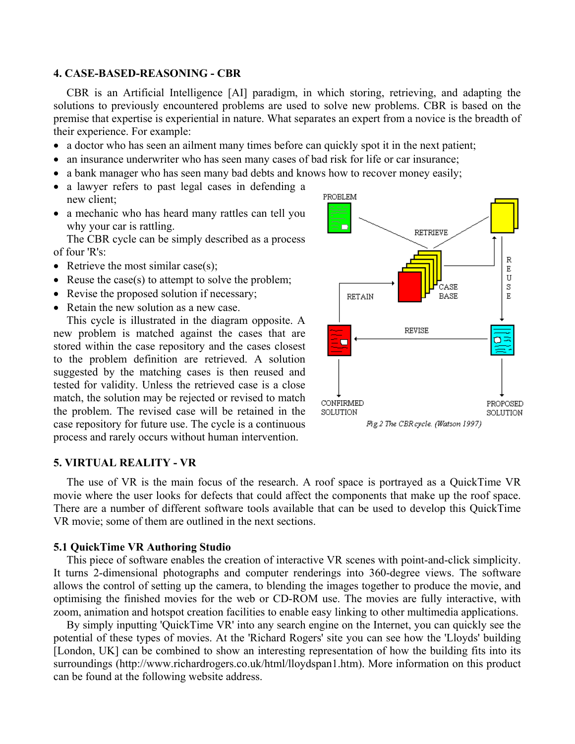### **4. CASE-BASED-REASONING - CBR**

CBR is an Artificial Intelligence [AI] paradigm, in which storing, retrieving, and adapting the solutions to previously encountered problems are used to solve new problems. CBR is based on the premise that expertise is experiential in nature. What separates an expert from a novice is the breadth of their experience. For example:

- a doctor who has seen an ailment many times before can quickly spot it in the next patient;
- an insurance underwriter who has seen many cases of bad risk for life or car insurance;
- a bank manager who has seen many bad debts and knows how to recover money easily;
- a lawyer refers to past legal cases in defending a new client;
- a mechanic who has heard many rattles can tell you why your car is rattling.

The CBR cycle can be simply described as a process of four 'R's:

- Retrieve the most similar case(s);
- Reuse the case(s) to attempt to solve the problem;
- Revise the proposed solution if necessary;
- Retain the new solution as a new case.

This cycle is illustrated in the diagram opposite. A new problem is matched against the cases that are stored within the case repository and the cases closest to the problem definition are retrieved. A solution suggested by the matching cases is then reused and tested for validity. Unless the retrieved case is a close match, the solution may be rejected or revised to match the problem. The revised case will be retained in the case repository for future use. The cycle is a continuous process and rarely occurs without human intervention.



#### **5. VIRTUAL REALITY - VR**

The use of VR is the main focus of the research. A roof space is portrayed as a QuickTime VR movie where the user looks for defects that could affect the components that make up the roof space. There are a number of different software tools available that can be used to develop this QuickTime VR movie; some of them are outlined in the next sections.

### **5.1 QuickTime VR Authoring Studio**

This piece of software enables the creation of interactive VR scenes with point-and-click simplicity. It turns 2-dimensional photographs and computer renderings into 360-degree views. The software allows the control of setting up the camera, to blending the images together to produce the movie, and optimising the finished movies for the web or CD-ROM use. The movies are fully interactive, with zoom, animation and hotspot creation facilities to enable easy linking to other multimedia applications.

By simply inputting 'QuickTime VR' into any search engine on the Internet, you can quickly see the potential of these types of movies. At the 'Richard Rogers' site you can see how the 'Lloyds' building [London, UK] can be combined to show an interesting representation of how the building fits into its surroundings (http://www.richardrogers.co.uk/html/lloydspan1.htm). More information on this product can be found at the following website address.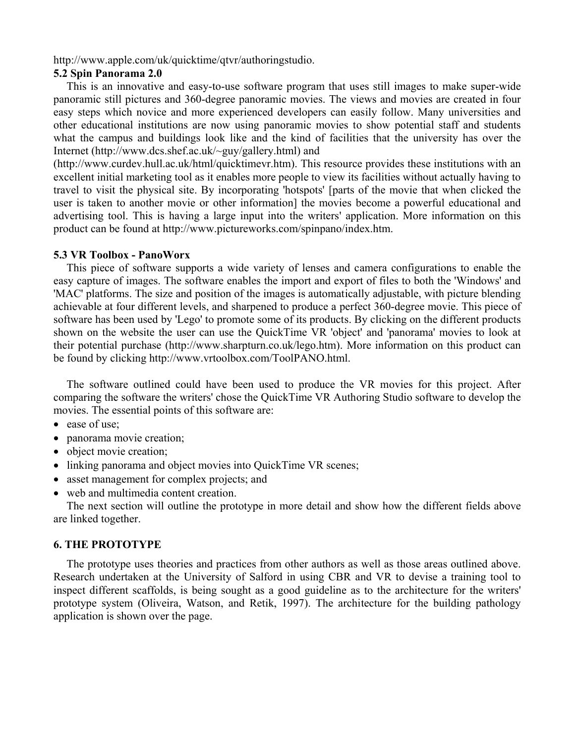http://www.apple.com/uk/quicktime/qtvr/authoringstudio.

# **5.2 Spin Panorama 2.0**

 This is an innovative and easy-to-use software program that uses still images to make super-wide panoramic still pictures and 360-degree panoramic movies. The views and movies are created in four easy steps which novice and more experienced developers can easily follow. Many universities and other educational institutions are now using panoramic movies to show potential staff and students what the campus and buildings look like and the kind of facilities that the university has over the Internet (http://www.dcs.shef.ac.uk/~guy/gallery.html) and

(http://www.curdev.hull.ac.uk/html/quicktimevr.htm). This resource provides these institutions with an excellent initial marketing tool as it enables more people to view its facilities without actually having to travel to visit the physical site. By incorporating 'hotspots' [parts of the movie that when clicked the user is taken to another movie or other information] the movies become a powerful educational and advertising tool. This is having a large input into the writers' application. More information on this product can be found at http://www.pictureworks.com/spinpano/index.htm.

### **5.3 VR Toolbox - PanoWorx**

 This piece of software supports a wide variety of lenses and camera configurations to enable the easy capture of images. The software enables the import and export of files to both the 'Windows' and 'MAC' platforms. The size and position of the images is automatically adjustable, with picture blending achievable at four different levels, and sharpened to produce a perfect 360-degree movie. This piece of software has been used by 'Lego' to promote some of its products. By clicking on the different products shown on the website the user can use the QuickTime VR 'object' and 'panorama' movies to look at their potential purchase (http://www.sharpturn.co.uk/lego.htm). More information on this product can be found by clicking http://www.vrtoolbox.com/ToolPANO.html.

 The software outlined could have been used to produce the VR movies for this project. After comparing the software the writers' chose the QuickTime VR Authoring Studio software to develop the movies. The essential points of this software are:

- ease of use;
- panorama movie creation;
- object movie creation;
- linking panorama and object movies into QuickTime VR scenes;
- asset management for complex projects; and
- web and multimedia content creation.

 The next section will outline the prototype in more detail and show how the different fields above are linked together.

## **6. THE PROTOTYPE**

 The prototype uses theories and practices from other authors as well as those areas outlined above. Research undertaken at the University of Salford in using CBR and VR to devise a training tool to inspect different scaffolds, is being sought as a good guideline as to the architecture for the writers' prototype system (Oliveira, Watson, and Retik, 1997). The architecture for the building pathology application is shown over the page.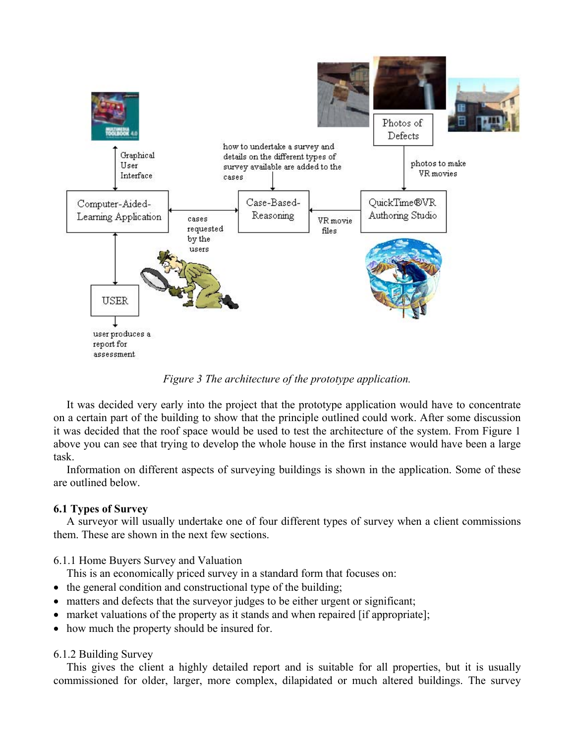

*Figure 3 The architecture of the prototype application.* 

It was decided very early into the project that the prototype application would have to concentrate on a certain part of the building to show that the principle outlined could work. After some discussion it was decided that the roof space would be used to test the architecture of the system. From Figure 1 above you can see that trying to develop the whole house in the first instance would have been a large task.

Information on different aspects of surveying buildings is shown in the application. Some of these are outlined below.

# **6.1 Types of Survey**

A surveyor will usually undertake one of four different types of survey when a client commissions them. These are shown in the next few sections.

6.1.1 Home Buyers Survey and Valuation

This is an economically priced survey in a standard form that focuses on:

- the general condition and constructional type of the building;
- matters and defects that the surveyor judges to be either urgent or significant;
- market valuations of the property as it stands and when repaired [if appropriate];
- how much the property should be insured for.

6.1.2 Building Survey

This gives the client a highly detailed report and is suitable for all properties, but it is usually commissioned for older, larger, more complex, dilapidated or much altered buildings. The survey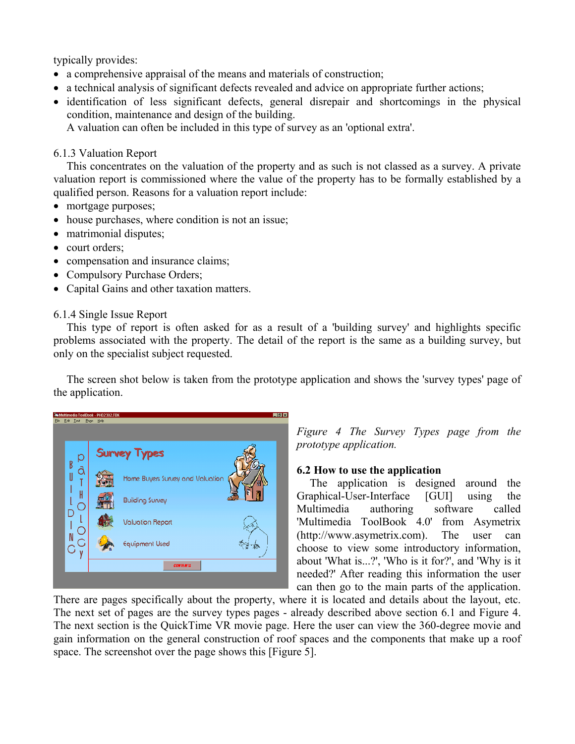typically provides:

- a comprehensive appraisal of the means and materials of construction;
- a technical analysis of significant defects revealed and advice on appropriate further actions;
- identification of less significant defects, general disrepair and shortcomings in the physical condition, maintenance and design of the building.

A valuation can often be included in this type of survey as an 'optional extra'.

# 6.1.3 Valuation Report

This concentrates on the valuation of the property and as such is not classed as a survey. A private valuation report is commissioned where the value of the property has to be formally established by a qualified person. Reasons for a valuation report include:

- mortgage purposes;
- house purchases, where condition is not an issue;
- matrimonial disputes;
- court orders;
- compensation and insurance claims;
- Compulsory Purchase Orders;
- Capital Gains and other taxation matters.

# 6.1.4 Single Issue Report

This type of report is often asked for as a result of a 'building survey' and highlights specific problems associated with the property. The detail of the report is the same as a building survey, but only on the specialist subject requested.

The screen shot below is taken from the prototype application and shows the 'survey types' page of the application.



*Figure 4 The Survey Types page from the prototype application.* 

# **6.2 How to use the application**

The application is designed around the Graphical-User-Interface [GUI] using the Multimedia authoring software called 'Multimedia ToolBook 4.0' from Asymetrix (http://www.asymetrix.com). The user can choose to view some introductory information, about 'What is...?', 'Who is it for?', and 'Why is it needed?' After reading this information the user can then go to the main parts of the application.

There are pages specifically about the property, where it is located and details about the layout, etc. The next set of pages are the survey types pages - already described above section 6.1 and Figure 4. The next section is the QuickTime VR movie page. Here the user can view the 360-degree movie and gain information on the general construction of roof spaces and the components that make up a roof space. The screenshot over the page shows this [Figure 5].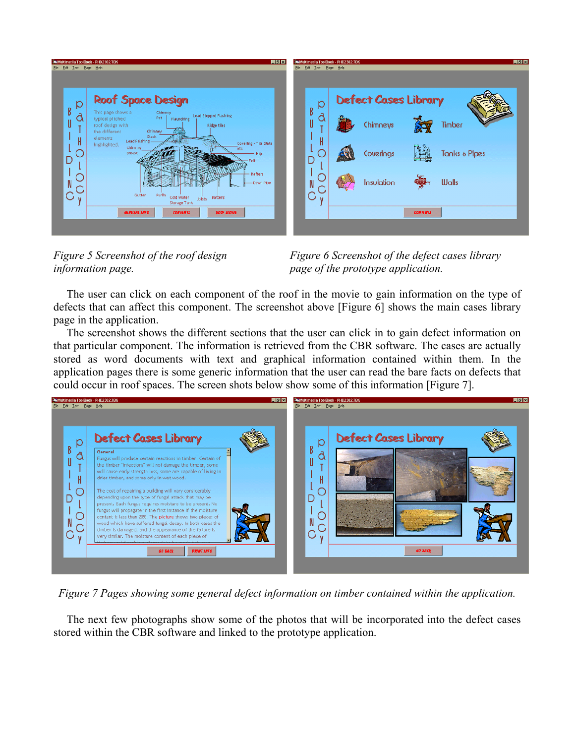

*information page. page of the prototype application.*

*Figure 5 Screenshot of the roof design Figure 6 Screenshot of the defect cases library* 

The user can click on each component of the roof in the movie to gain information on the type of defects that can affect this component. The screenshot above [Figure 6] shows the main cases library page in the application.

The screenshot shows the different sections that the user can click in to gain defect information on that particular component. The information is retrieved from the CBR software. The cases are actually stored as word documents with text and graphical information contained within them. In the application pages there is some generic information that the user can read the bare facts on defects that could occur in roof spaces. The screen shots below show some of this information [Figure 7].



*Figure 7 Pages showing some general defect information on timber contained within the application.* 

The next few photographs show some of the photos that will be incorporated into the defect cases stored within the CBR software and linked to the prototype application.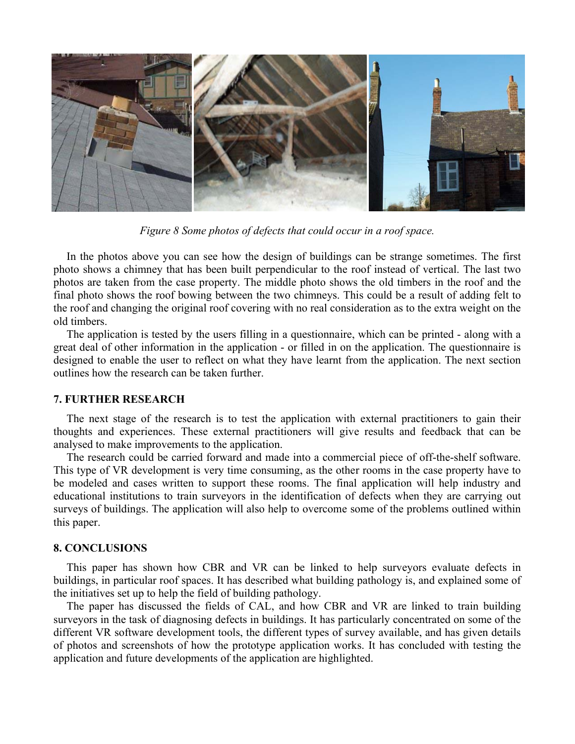

*Figure 8 Some photos of defects that could occur in a roof space.* 

In the photos above you can see how the design of buildings can be strange sometimes. The first photo shows a chimney that has been built perpendicular to the roof instead of vertical. The last two photos are taken from the case property. The middle photo shows the old timbers in the roof and the final photo shows the roof bowing between the two chimneys. This could be a result of adding felt to the roof and changing the original roof covering with no real consideration as to the extra weight on the old timbers.

The application is tested by the users filling in a questionnaire, which can be printed - along with a great deal of other information in the application - or filled in on the application. The questionnaire is designed to enable the user to reflect on what they have learnt from the application. The next section outlines how the research can be taken further.

## **7. FURTHER RESEARCH**

The next stage of the research is to test the application with external practitioners to gain their thoughts and experiences. These external practitioners will give results and feedback that can be analysed to make improvements to the application.

The research could be carried forward and made into a commercial piece of off-the-shelf software. This type of VR development is very time consuming, as the other rooms in the case property have to be modeled and cases written to support these rooms. The final application will help industry and educational institutions to train surveyors in the identification of defects when they are carrying out surveys of buildings. The application will also help to overcome some of the problems outlined within this paper.

## **8. CONCLUSIONS**

This paper has shown how CBR and VR can be linked to help surveyors evaluate defects in buildings, in particular roof spaces. It has described what building pathology is, and explained some of the initiatives set up to help the field of building pathology.

The paper has discussed the fields of CAL, and how CBR and VR are linked to train building surveyors in the task of diagnosing defects in buildings. It has particularly concentrated on some of the different VR software development tools, the different types of survey available, and has given details of photos and screenshots of how the prototype application works. It has concluded with testing the application and future developments of the application are highlighted.